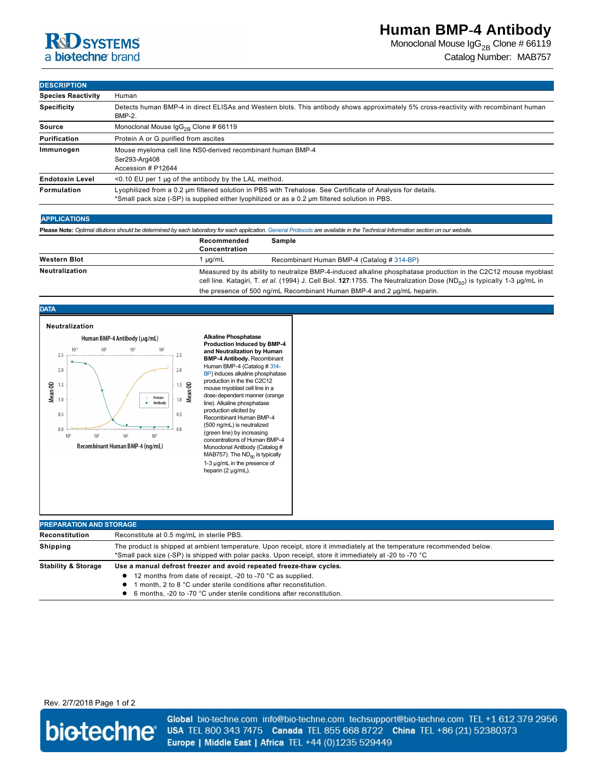# **RD** SYSTEMS a biotechne brand

Monoclonal Mouse  $\lg G_{2B}$  Clone # 66119 Catalog Number: MAB757

# **DESCRIPTION**

| <b>Species Reactivity</b> | Human                                                                                                                                                                                                         |  |  |
|---------------------------|---------------------------------------------------------------------------------------------------------------------------------------------------------------------------------------------------------------|--|--|
| <b>Specificity</b>        | Detects human BMP-4 in direct ELISAs and Western blots. This antibody shows approximately 5% cross-reactivity with recombinant human<br><b>BMP-2.</b>                                                         |  |  |
| Source                    | Monoclonal Mouse $\lg G_{2R}$ Clone # 66119                                                                                                                                                                   |  |  |
| Purification              | Protein A or G purified from ascites                                                                                                                                                                          |  |  |
| Immunogen                 | Mouse myeloma cell line NS0-derived recombinant human BMP-4<br>Ser293-Arg408<br>Accession # P12644                                                                                                            |  |  |
| <b>Endotoxin Level</b>    | <0.10 EU per 1 µg of the antibody by the LAL method.                                                                                                                                                          |  |  |
| Formulation               | Lyophilized from a 0.2 µm filtered solution in PBS with Trehalose. See Certificate of Analysis for details.<br>*Small pack size (-SP) is supplied either lyophilized or as a 0.2 µm filtered solution in PBS. |  |  |

### **APPLICATIONS**

**Please Note:** *Optimal dilutions should be determined by each laboratory for each application. [General Protocols](http://www.rndsystems.com/resources/protocols-troubleshooting-guides) are available in the Technical Information section on our website.*

|                     | Recommended<br>Concentration                                                                                                                                                                                                                                | Sample                                                                 |
|---------------------|-------------------------------------------------------------------------------------------------------------------------------------------------------------------------------------------------------------------------------------------------------------|------------------------------------------------------------------------|
| <b>Western Blot</b> | ua/mL                                                                                                                                                                                                                                                       | Recombinant Human BMP-4 (Catalog # 314-BP)                             |
| Neutralization      | Measured by its ability to neutralize BMP-4-induced alkaline phosphatase production in the C2C12 mouse myoblast<br>cell line. Katagiri, T. et al. (1994) J. Cell Biol. 127:1755. The Neutralization Dose (ND <sub>50</sub> ) is typically 1-3 $\mu$ g/mL in |                                                                        |
|                     |                                                                                                                                                                                                                                                             | the presence of 500 ng/mL Recombinant Human BMP-4 and 2 µg/mL heparin. |

## **DATA**



#### **Alkaline Phosphatase Production Induced by BMP4 and Neutralization by Human BMP4 Antibody.** Recombinant Human BMP-4 (Catalog # 314-BP) induces alkaline phosphatase production in the the C2C12 mouse myoblast cell line in a dose-dependent manner (orange line). Alkaline phosphatase production elicited by Recombinant Human BMP4 (500 ng/mL) is neutralized (green line) by increasing concentrations of Human BMP-4 Monoclonal Antibody (Catalog # MAB757). The  $ND_{50}$  is typically 1-3 µg/mL in the presence of heparin (2 µg/mL).

| <b>PREPARATION AND STORAGE</b> |                                                                                                                                                                                                                                                                                |  |  |
|--------------------------------|--------------------------------------------------------------------------------------------------------------------------------------------------------------------------------------------------------------------------------------------------------------------------------|--|--|
| Reconstitution                 | Reconstitute at 0.5 mg/mL in sterile PBS.                                                                                                                                                                                                                                      |  |  |
| Shipping                       | The product is shipped at ambient temperature. Upon receipt, store it immediately at the temperature recommended below.<br>*Small pack size (-SP) is shipped with polar packs. Upon receipt, store it immediately at -20 to -70 °C                                             |  |  |
| <b>Stability &amp; Storage</b> | Use a manual defrost freezer and avoid repeated freeze-thaw cycles.<br>12 months from date of receipt, -20 to -70 °C as supplied.<br>month. 2 to 8 °C under sterile conditions after reconstitution.<br>6 months. -20 to -70 °C under sterile conditions after reconstitution. |  |  |

# Rev. 2/7/2018 Page 1 of 2



Global bio-techne.com info@bio-techne.com techsupport@bio-techne.com TEL +1 612 379 2956 USA TEL 800 343 7475 Canada TEL 855 668 8722 China TEL +86 (21) 52380373 Europe | Middle East | Africa TEL +44 (0)1235 529449